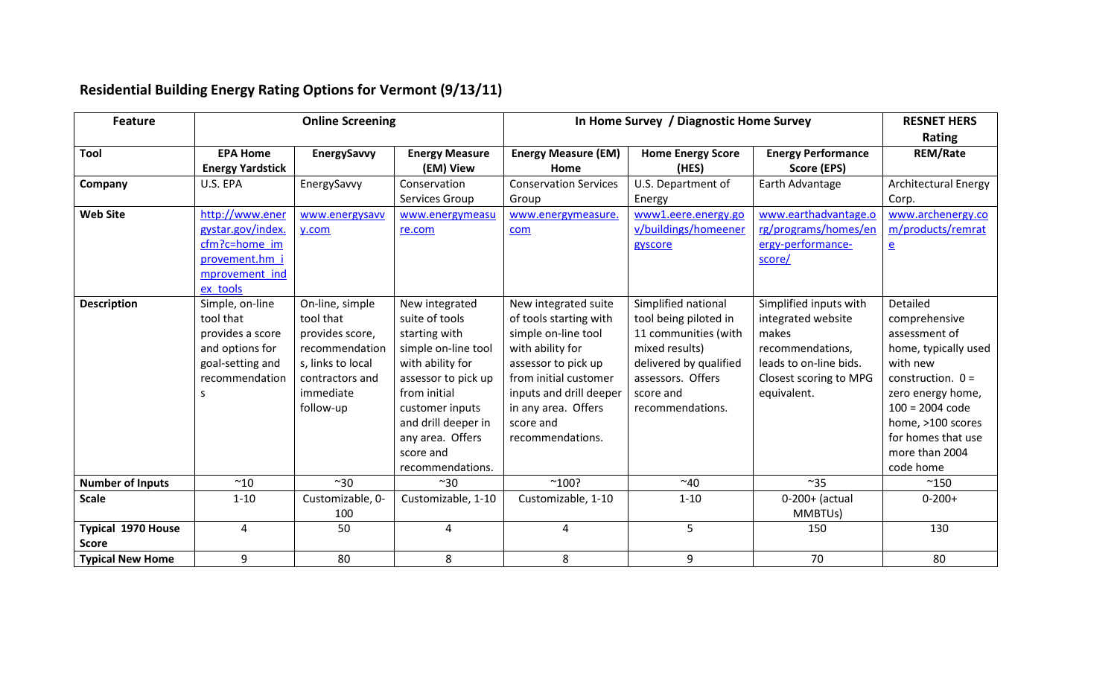| <b>Feature</b>                     | <b>Online Screening</b>                                                                                        |                                                                                                                                     |                                                                                                                                                                                                                                    | In Home Survey / Diagnostic Home Survey                                                                                                                                                                                      |                                                                                                                                                                        |                                                                                                                                              | <b>RESNET HERS</b><br>Rating                                                                                                                                                                                              |
|------------------------------------|----------------------------------------------------------------------------------------------------------------|-------------------------------------------------------------------------------------------------------------------------------------|------------------------------------------------------------------------------------------------------------------------------------------------------------------------------------------------------------------------------------|------------------------------------------------------------------------------------------------------------------------------------------------------------------------------------------------------------------------------|------------------------------------------------------------------------------------------------------------------------------------------------------------------------|----------------------------------------------------------------------------------------------------------------------------------------------|---------------------------------------------------------------------------------------------------------------------------------------------------------------------------------------------------------------------------|
| <b>Tool</b>                        | <b>EPA Home</b><br><b>Energy Yardstick</b>                                                                     | EnergySavvy                                                                                                                         | <b>Energy Measure</b><br>(EM) View                                                                                                                                                                                                 | <b>Energy Measure (EM)</b><br>Home                                                                                                                                                                                           | <b>Home Energy Score</b><br>(HES)                                                                                                                                      | <b>Energy Performance</b><br>Score (EPS)                                                                                                     | <b>REM/Rate</b>                                                                                                                                                                                                           |
| Company                            | U.S. EPA                                                                                                       | EnergySavvy                                                                                                                         | Conservation<br>Services Group                                                                                                                                                                                                     | <b>Conservation Services</b><br>Group                                                                                                                                                                                        | U.S. Department of<br>Energy                                                                                                                                           | Earth Advantage                                                                                                                              | <b>Architectural Energy</b><br>Corp.                                                                                                                                                                                      |
| <b>Web Site</b>                    | http://www.ener<br>gystar.gov/index.<br>cfm?c=home im<br>provement.hm i<br>mprovement ind<br>ex tools          | www.energysavv<br>y.com                                                                                                             | www.energymeasu<br>re.com                                                                                                                                                                                                          | www.energymeasure.<br>com                                                                                                                                                                                                    | www1.eere.energy.go<br>v/buildings/homeener<br>gyscore                                                                                                                 | www.earthadvantage.o<br>rg/programs/homes/en<br>ergy-performance-<br>score/                                                                  | www.archenergy.co<br>m/products/remrat<br>$\underline{\mathsf{e}}$                                                                                                                                                        |
| <b>Description</b>                 | Simple, on-line<br>tool that<br>provides a score<br>and options for<br>goal-setting and<br>recommendation<br>S | On-line, simple<br>tool that<br>provides score,<br>recommendation<br>s, links to local<br>contractors and<br>immediate<br>follow-up | New integrated<br>suite of tools<br>starting with<br>simple on-line tool<br>with ability for<br>assessor to pick up<br>from initial<br>customer inputs<br>and drill deeper in<br>any area. Offers<br>score and<br>recommendations. | New integrated suite<br>of tools starting with<br>simple on-line tool<br>with ability for<br>assessor to pick up<br>from initial customer<br>inputs and drill deeper<br>in any area. Offers<br>score and<br>recommendations. | Simplified national<br>tool being piloted in<br>11 communities (with<br>mixed results)<br>delivered by qualified<br>assessors. Offers<br>score and<br>recommendations. | Simplified inputs with<br>integrated website<br>makes<br>recommendations,<br>leads to on-line bids.<br>Closest scoring to MPG<br>equivalent. | Detailed<br>comprehensive<br>assessment of<br>home, typically used<br>with new<br>construction. $0 =$<br>zero energy home,<br>$100 = 2004$ code<br>home, >100 scores<br>for homes that use<br>more than 2004<br>code home |
| <b>Number of Inputs</b>            | ~10                                                                                                            | ~30                                                                                                                                 | $~^{\sim}30$                                                                                                                                                                                                                       | $^{\sim}100?$                                                                                                                                                                                                                | ~10                                                                                                                                                                    | $~^{\sim}35$                                                                                                                                 | $^{\sim}$ 150                                                                                                                                                                                                             |
| <b>Scale</b>                       | $1 - 10$                                                                                                       | Customizable, 0-<br>100                                                                                                             | Customizable, 1-10                                                                                                                                                                                                                 | Customizable, 1-10                                                                                                                                                                                                           | $1 - 10$                                                                                                                                                               | $0-200+$ (actual<br>MMBTU <sub>s</sub> )                                                                                                     | $0 - 200 +$                                                                                                                                                                                                               |
| Typical 1970 House<br><b>Score</b> | $\overline{4}$                                                                                                 | 50                                                                                                                                  | 4                                                                                                                                                                                                                                  | 4                                                                                                                                                                                                                            | 5                                                                                                                                                                      | 150                                                                                                                                          | 130                                                                                                                                                                                                                       |
| <b>Typical New Home</b>            | 9                                                                                                              | 80                                                                                                                                  | 8                                                                                                                                                                                                                                  | 8                                                                                                                                                                                                                            | 9                                                                                                                                                                      | 70                                                                                                                                           | 80                                                                                                                                                                                                                        |

## **Residential Building Energy Rating Options for Vermont (9/13/11)**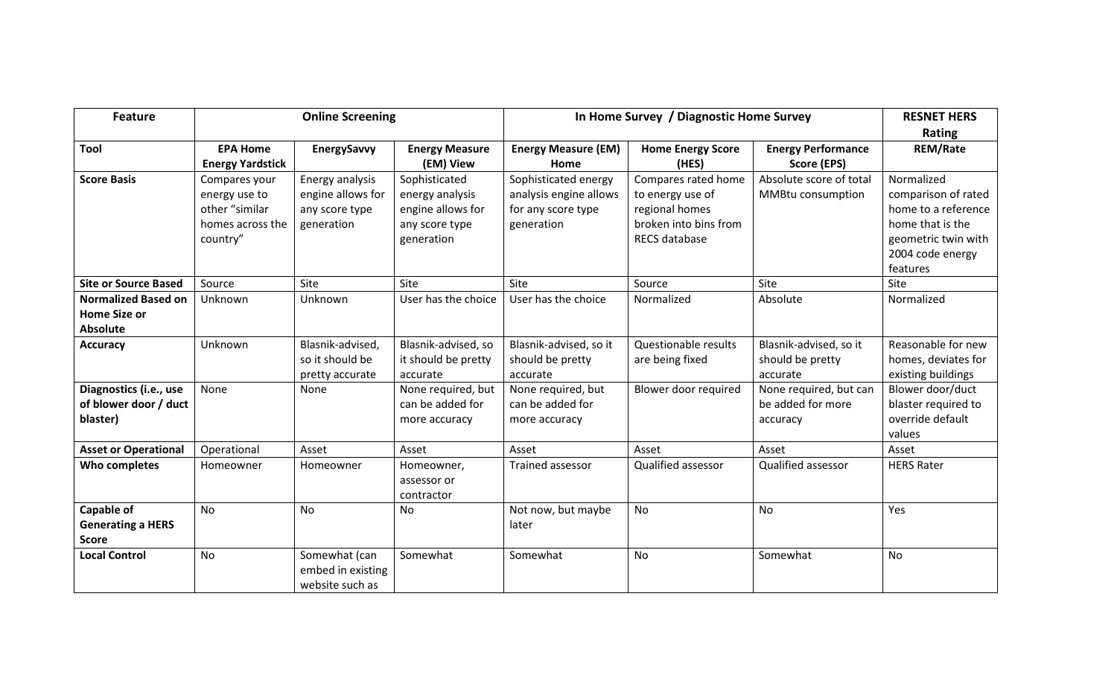| <b>Feature</b>                                                       | <b>Online Screening</b>                                                          |                                                                      |                                                                                       | In Home Survey / Diagnostic Home Survey                                            |                                                                                                            |                                                         | <b>RESNET HERS</b>                                                                                                                  |
|----------------------------------------------------------------------|----------------------------------------------------------------------------------|----------------------------------------------------------------------|---------------------------------------------------------------------------------------|------------------------------------------------------------------------------------|------------------------------------------------------------------------------------------------------------|---------------------------------------------------------|-------------------------------------------------------------------------------------------------------------------------------------|
|                                                                      |                                                                                  |                                                                      |                                                                                       |                                                                                    |                                                                                                            |                                                         | Rating                                                                                                                              |
| Tool                                                                 | <b>EPA Home</b><br><b>Energy Yardstick</b>                                       | EnergySavvy                                                          | <b>Energy Measure</b><br>(EM) View                                                    | <b>Energy Measure (EM)</b><br>Home                                                 | <b>Home Energy Score</b><br>(HES)                                                                          | <b>Energy Performance</b><br>Score (EPS)                | <b>REM/Rate</b>                                                                                                                     |
| <b>Score Basis</b>                                                   | Compares your<br>energy use to<br>other "similar<br>homes across the<br>country" | Energy analysis<br>engine allows for<br>any score type<br>generation | Sophisticated<br>energy analysis<br>engine allows for<br>any score type<br>generation | Sophisticated energy<br>analysis engine allows<br>for any score type<br>generation | Compares rated home<br>to energy use of<br>regional homes<br>broken into bins from<br><b>RECS database</b> | Absolute score of total<br>MMBtu consumption            | Normalized<br>comparison of rated<br>home to a reference<br>home that is the<br>geometric twin with<br>2004 code energy<br>features |
| <b>Site or Source Based</b>                                          | Source                                                                           | Site                                                                 | Site                                                                                  | Site                                                                               | Source                                                                                                     | Site                                                    | Site                                                                                                                                |
| <b>Normalized Based on</b><br><b>Home Size or</b><br><b>Absolute</b> | Unknown                                                                          | Unknown                                                              | User has the choice                                                                   | User has the choice                                                                | Normalized                                                                                                 | Absolute                                                | Normalized                                                                                                                          |
| <b>Accuracy</b>                                                      | Unknown                                                                          | Blasnik-advised,<br>so it should be<br>pretty accurate               | Blasnik-advised, so<br>it should be pretty<br>accurate                                | Blasnik-advised, so it<br>should be pretty<br>accurate                             | Questionable results<br>are being fixed                                                                    | Blasnik-advised, so it<br>should be pretty<br>accurate  | Reasonable for new<br>homes, deviates for<br>existing buildings                                                                     |
| Diagnostics (i.e., use<br>of blower door / duct<br>blaster)          | None                                                                             | None                                                                 | None required, but<br>can be added for<br>more accuracy                               | None required, but<br>can be added for<br>more accuracy                            | Blower door required                                                                                       | None required, but can<br>be added for more<br>accuracy | Blower door/duct<br>blaster required to<br>override default<br>values                                                               |
| <b>Asset or Operational</b>                                          | Operational                                                                      | Asset                                                                | Asset                                                                                 | Asset                                                                              | Asset                                                                                                      | Asset                                                   | Asset                                                                                                                               |
| Who completes                                                        | Homeowner                                                                        | Homeowner                                                            | Homeowner,<br>assessor or<br>contractor                                               | Trained assessor                                                                   | Qualified assessor                                                                                         | Qualified assessor                                      | <b>HERS Rater</b>                                                                                                                   |
| Capable of<br><b>Generating a HERS</b><br><b>Score</b>               | <b>No</b>                                                                        | <b>No</b>                                                            | <b>No</b>                                                                             | Not now, but maybe<br>later                                                        | <b>No</b>                                                                                                  | <b>No</b>                                               | Yes                                                                                                                                 |
| <b>Local Control</b>                                                 | <b>No</b>                                                                        | Somewhat (can<br>embed in existing<br>website such as                | Somewhat                                                                              | Somewhat                                                                           | No                                                                                                         | Somewhat                                                | <b>No</b>                                                                                                                           |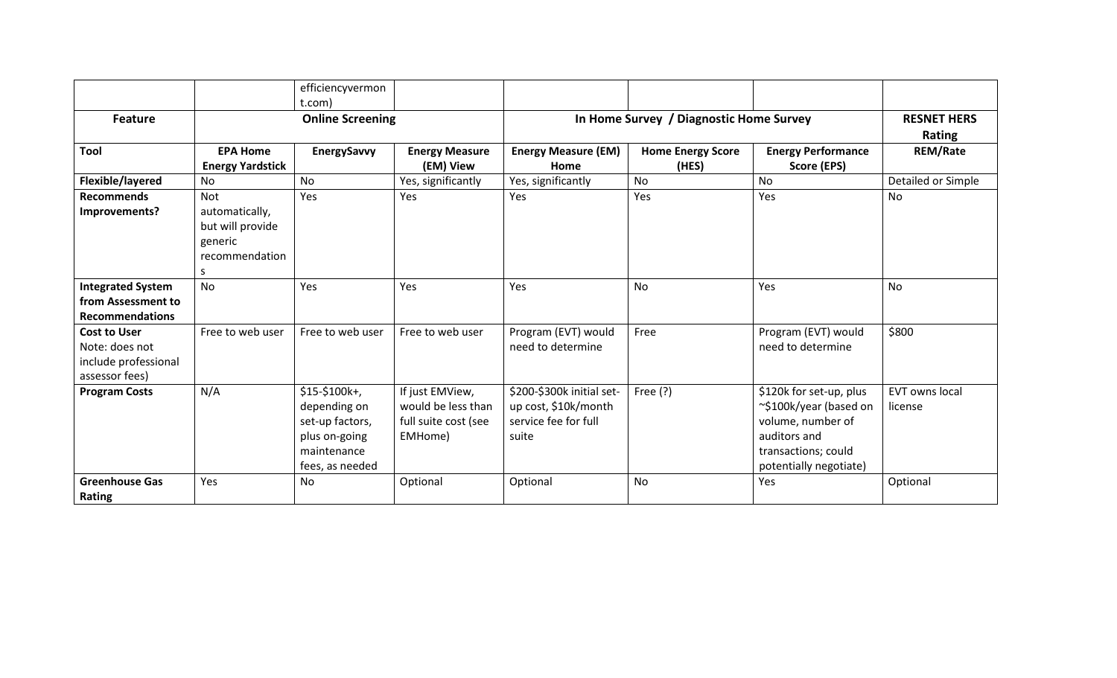|                                                                                 |                                                                                    | efficiencyvermon<br>t.com)                                                                           |                                                                          |                                                                                    |                                   |                                                                                                                                         |                              |
|---------------------------------------------------------------------------------|------------------------------------------------------------------------------------|------------------------------------------------------------------------------------------------------|--------------------------------------------------------------------------|------------------------------------------------------------------------------------|-----------------------------------|-----------------------------------------------------------------------------------------------------------------------------------------|------------------------------|
| <b>Feature</b>                                                                  | <b>Online Screening</b>                                                            |                                                                                                      |                                                                          | In Home Survey / Diagnostic Home Survey                                            |                                   |                                                                                                                                         | <b>RESNET HERS</b><br>Rating |
| <b>Tool</b>                                                                     | <b>EPA Home</b><br><b>Energy Yardstick</b>                                         | EnergySavvy                                                                                          | <b>Energy Measure</b><br>(EM) View                                       | <b>Energy Measure (EM)</b><br>Home                                                 | <b>Home Energy Score</b><br>(HES) | <b>Energy Performance</b><br>Score (EPS)                                                                                                | <b>REM/Rate</b>              |
| Flexible/layered                                                                | No                                                                                 | <b>No</b>                                                                                            | Yes, significantly                                                       | Yes, significantly                                                                 | <b>No</b>                         | <b>No</b>                                                                                                                               | Detailed or Simple           |
| <b>Recommends</b><br>Improvements?                                              | <b>Not</b><br>automatically,<br>but will provide<br>generic<br>recommendation<br>S | Yes                                                                                                  | Yes                                                                      | Yes                                                                                | Yes                               | Yes                                                                                                                                     | <b>No</b>                    |
| <b>Integrated System</b><br>from Assessment to<br><b>Recommendations</b>        | <b>No</b>                                                                          | Yes                                                                                                  | Yes                                                                      | Yes                                                                                | <b>No</b>                         | Yes                                                                                                                                     | <b>No</b>                    |
| <b>Cost to User</b><br>Note: does not<br>include professional<br>assessor fees) | Free to web user                                                                   | Free to web user                                                                                     | Free to web user                                                         | Program (EVT) would<br>need to determine                                           | Free                              | Program (EVT) would<br>need to determine                                                                                                | \$800                        |
| <b>Program Costs</b>                                                            | N/A                                                                                | $$15-$100k+$ ,<br>depending on<br>set-up factors,<br>plus on-going<br>maintenance<br>fees, as needed | If just EMView,<br>would be less than<br>full suite cost (see<br>EMHome) | \$200-\$300k initial set-<br>up cost, \$10k/month<br>service fee for full<br>suite | Free $(?)$                        | \$120k for set-up, plus<br>~\$100k/year (based on<br>volume, number of<br>auditors and<br>transactions; could<br>potentially negotiate) | EVT owns local<br>license    |
| <b>Greenhouse Gas</b><br><b>Rating</b>                                          | Yes                                                                                | <b>No</b>                                                                                            | Optional                                                                 | Optional                                                                           | No                                | Yes                                                                                                                                     | Optional                     |